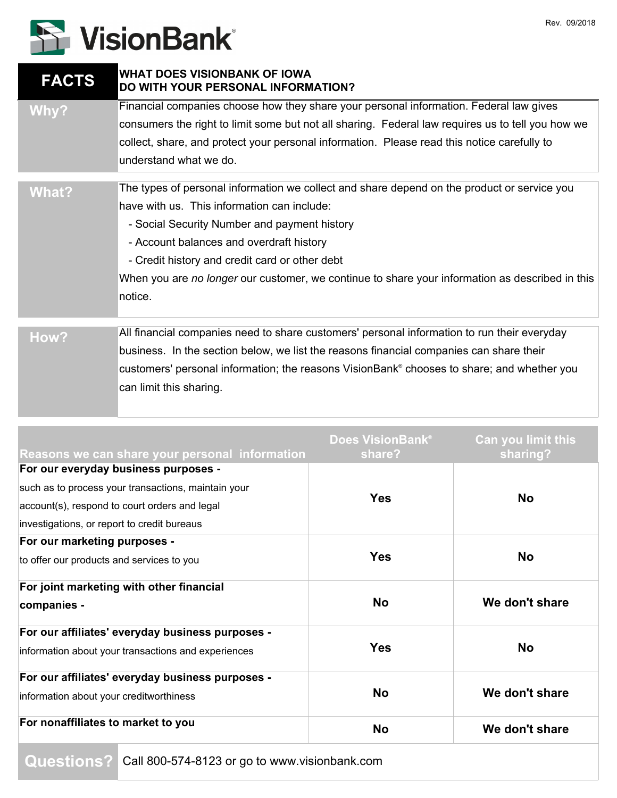## **S** VisionBank®

| <b>FACTS</b> | <b>WHAT DOES VISIONBANK OF IOWA</b><br>DO WITH YOUR PERSONAL INFORMATION?                         |
|--------------|---------------------------------------------------------------------------------------------------|
| Why?         | Financial companies choose how they share your personal information. Federal law gives            |
|              | consumers the right to limit some but not all sharing. Federal law requires us to tell you how we |
|              | collect, share, and protect your personal information. Please read this notice carefully to       |
|              | understand what we do.                                                                            |
| What?        | The types of personal information we collect and share depend on the product or service you       |
|              | have with us. This information can include:                                                       |
|              | - Social Security Number and payment history                                                      |
|              | - Account balances and overdraft history                                                          |
|              | - Credit history and credit card or other debt                                                    |
|              | When you are no longer our customer, we continue to share your information as described in this   |
|              | notice.                                                                                           |
| How?         | All financial companies need to share customers' personal information to run their everyday       |
|              | business. In the section below, we list the reasons financial companies can share their           |
|              | customers' personal information; the reasons VisionBank® chooses to share; and whether you        |
|              | can limit this sharing.                                                                           |
|              |                                                                                                   |

| Reasons we can share your personal information      | <b>Does VisionBank®</b><br>share? | <b>Can you limit this</b><br>sharing? |
|-----------------------------------------------------|-----------------------------------|---------------------------------------|
| For our everyday business purposes -                |                                   |                                       |
| such as to process your transactions, maintain your | <b>Yes</b>                        | <b>No</b>                             |
| account(s), respond to court orders and legal       |                                   |                                       |
| investigations, or report to credit bureaus         |                                   |                                       |
| For our marketing purposes -                        |                                   |                                       |
| to offer our products and services to you           | <b>Yes</b>                        | <b>No</b>                             |
| For joint marketing with other financial            |                                   |                                       |
| companies -                                         | <b>No</b>                         | We don't share                        |
| For our affiliates' everyday business purposes -    | <b>Yes</b>                        | <b>No</b>                             |
| information about your transactions and experiences |                                   |                                       |
| For our affiliates' everyday business purposes -    |                                   |                                       |
| information about your creditworthiness             | <b>No</b>                         | We don't share                        |
| For nonaffiliates to market to you                  | <b>No</b>                         | We don't share                        |
|                                                     |                                   |                                       |

**Questions?** Call 800-574-8123 or go to www.visionbank.com